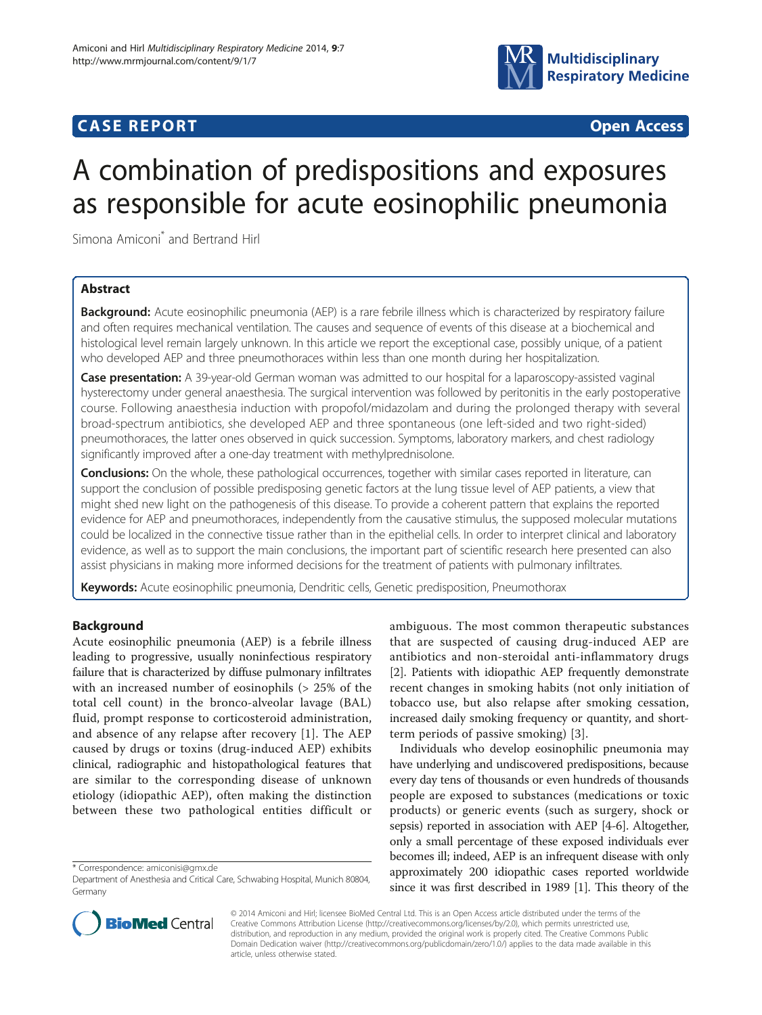# **CASE REPORT CASE REPORT CASE REPORT**



# A combination of predispositions and exposures as responsible for acute eosinophilic pneumonia

Simona Amiconi<sup>\*</sup> and Bertrand Hirl

# Abstract

Background: Acute eosinophilic pneumonia (AEP) is a rare febrile illness which is characterized by respiratory failure and often requires mechanical ventilation. The causes and sequence of events of this disease at a biochemical and histological level remain largely unknown. In this article we report the exceptional case, possibly unique, of a patient who developed AEP and three pneumothoraces within less than one month during her hospitalization.

Case presentation: A 39-year-old German woman was admitted to our hospital for a laparoscopy-assisted vaginal hysterectomy under general anaesthesia. The surgical intervention was followed by peritonitis in the early postoperative course. Following anaesthesia induction with propofol/midazolam and during the prolonged therapy with several broad-spectrum antibiotics, she developed AEP and three spontaneous (one left-sided and two right-sided) pneumothoraces, the latter ones observed in quick succession. Symptoms, laboratory markers, and chest radiology significantly improved after a one-day treatment with methylprednisolone.

Conclusions: On the whole, these pathological occurrences, together with similar cases reported in literature, can support the conclusion of possible predisposing genetic factors at the lung tissue level of AEP patients, a view that might shed new light on the pathogenesis of this disease. To provide a coherent pattern that explains the reported evidence for AEP and pneumothoraces, independently from the causative stimulus, the supposed molecular mutations could be localized in the connective tissue rather than in the epithelial cells. In order to interpret clinical and laboratory evidence, as well as to support the main conclusions, the important part of scientific research here presented can also assist physicians in making more informed decisions for the treatment of patients with pulmonary infiltrates.

Keywords: Acute eosinophilic pneumonia, Dendritic cells, Genetic predisposition, Pneumothorax

# Background

Acute eosinophilic pneumonia (AEP) is a febrile illness leading to progressive, usually noninfectious respiratory failure that is characterized by diffuse pulmonary infiltrates with an increased number of eosinophils ( $> 25\%$  of the total cell count) in the bronco-alveolar lavage (BAL) fluid, prompt response to corticosteroid administration, and absence of any relapse after recovery [\[1](#page-6-0)]. The AEP caused by drugs or toxins (drug-induced AEP) exhibits clinical, radiographic and histopathological features that are similar to the corresponding disease of unknown etiology (idiopathic AEP), often making the distinction between these two pathological entities difficult or

\* Correspondence: [amiconisi@gmx.de](mailto:amiconisi@gmx.de)

ambiguous. The most common therapeutic substances that are suspected of causing drug-induced AEP are antibiotics and non-steroidal anti-inflammatory drugs [[2\]](#page-6-0). Patients with idiopathic AEP frequently demonstrate recent changes in smoking habits (not only initiation of tobacco use, but also relapse after smoking cessation, increased daily smoking frequency or quantity, and shortterm periods of passive smoking) [\[3](#page-6-0)].

Individuals who develop eosinophilic pneumonia may have underlying and undiscovered predispositions, because every day tens of thousands or even hundreds of thousands people are exposed to substances (medications or toxic products) or generic events (such as surgery, shock or sepsis) reported in association with AEP [\[4](#page-6-0)-[6](#page-6-0)]. Altogether, only a small percentage of these exposed individuals ever becomes ill; indeed, AEP is an infrequent disease with only approximately 200 idiopathic cases reported worldwide since it was first described in 1989 [[1\]](#page-6-0). This theory of the



© 2014 Amiconi and Hirl; licensee BioMed Central Ltd. This is an Open Access article distributed under the terms of the Creative Commons Attribution License (<http://creativecommons.org/licenses/by/2.0>), which permits unrestricted use, distribution, and reproduction in any medium, provided the original work is properly cited. The Creative Commons Public Domain Dedication waiver [\(http://creativecommons.org/publicdomain/zero/1.0/\)](http://creativecommons.org/publicdomain/zero/1.0/) applies to the data made available in this article, unless otherwise stated.

Department of Anesthesia and Critical Care, Schwabing Hospital, Munich 80804, Germany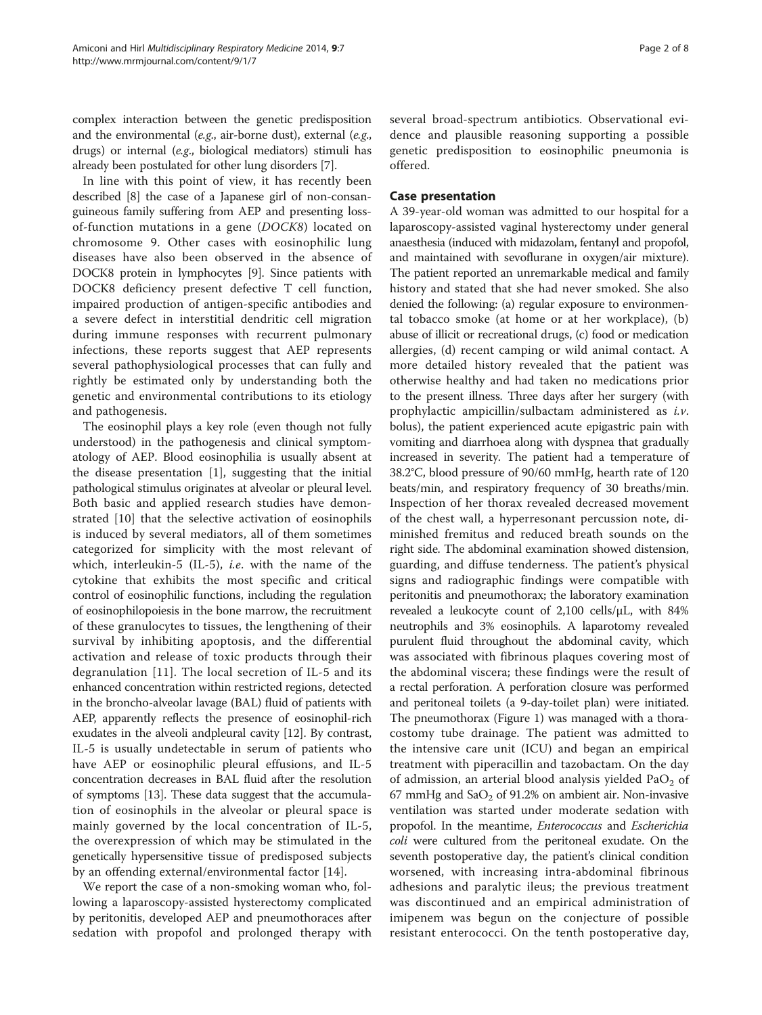complex interaction between the genetic predisposition and the environmental (e.g., air-borne dust), external (e.g., drugs) or internal (e.g., biological mediators) stimuli has already been postulated for other lung disorders [[7](#page-6-0)].

In line with this point of view, it has recently been described [[8\]](#page-6-0) the case of a Japanese girl of non-consanguineous family suffering from AEP and presenting lossof-function mutations in a gene (DOCK8) located on chromosome 9. Other cases with eosinophilic lung diseases have also been observed in the absence of DOCK8 protein in lymphocytes [[9\]](#page-6-0). Since patients with DOCK8 deficiency present defective T cell function, impaired production of antigen-specific antibodies and a severe defect in interstitial dendritic cell migration during immune responses with recurrent pulmonary infections, these reports suggest that AEP represents several pathophysiological processes that can fully and rightly be estimated only by understanding both the genetic and environmental contributions to its etiology and pathogenesis.

The eosinophil plays a key role (even though not fully understood) in the pathogenesis and clinical symptomatology of AEP. Blood eosinophilia is usually absent at the disease presentation [\[1](#page-6-0)], suggesting that the initial pathological stimulus originates at alveolar or pleural level. Both basic and applied research studies have demonstrated [[10\]](#page-6-0) that the selective activation of eosinophils is induced by several mediators, all of them sometimes categorized for simplicity with the most relevant of which, interleukin-5 (IL-5), i.e. with the name of the cytokine that exhibits the most specific and critical control of eosinophilic functions, including the regulation of eosinophilopoiesis in the bone marrow, the recruitment of these granulocytes to tissues, the lengthening of their survival by inhibiting apoptosis, and the differential activation and release of toxic products through their degranulation [\[11\]](#page-6-0). The local secretion of IL-5 and its enhanced concentration within restricted regions, detected in the broncho-alveolar lavage (BAL) fluid of patients with AEP, apparently reflects the presence of eosinophil-rich exudates in the alveoli andpleural cavity [[12](#page-6-0)]. By contrast, IL-5 is usually undetectable in serum of patients who have AEP or eosinophilic pleural effusions, and IL-5 concentration decreases in BAL fluid after the resolution of symptoms [\[13](#page-6-0)]. These data suggest that the accumulation of eosinophils in the alveolar or pleural space is mainly governed by the local concentration of IL-5, the overexpression of which may be stimulated in the genetically hypersensitive tissue of predisposed subjects by an offending external/environmental factor [[14\]](#page-6-0).

We report the case of a non-smoking woman who, following a laparoscopy-assisted hysterectomy complicated by peritonitis, developed AEP and pneumothoraces after sedation with propofol and prolonged therapy with several broad-spectrum antibiotics. Observational evidence and plausible reasoning supporting a possible genetic predisposition to eosinophilic pneumonia is offered.

## Case presentation

A 39-year-old woman was admitted to our hospital for a laparoscopy-assisted vaginal hysterectomy under general anaesthesia (induced with midazolam, fentanyl and propofol, and maintained with sevoflurane in oxygen/air mixture). The patient reported an unremarkable medical and family history and stated that she had never smoked. She also denied the following: (a) regular exposure to environmental tobacco smoke (at home or at her workplace), (b) abuse of illicit or recreational drugs, (c) food or medication allergies, (d) recent camping or wild animal contact. A more detailed history revealed that the patient was otherwise healthy and had taken no medications prior to the present illness. Three days after her surgery (with prophylactic ampicillin/sulbactam administered as  $i.\nu$ . bolus), the patient experienced acute epigastric pain with vomiting and diarrhoea along with dyspnea that gradually increased in severity. The patient had a temperature of 38.2°C, blood pressure of 90/60 mmHg, hearth rate of 120 beats/min, and respiratory frequency of 30 breaths/min. Inspection of her thorax revealed decreased movement of the chest wall, a hyperresonant percussion note, diminished fremitus and reduced breath sounds on the right side. The abdominal examination showed distension, guarding, and diffuse tenderness. The patient's physical signs and radiographic findings were compatible with peritonitis and pneumothorax; the laboratory examination revealed a leukocyte count of 2,100 cells/μL, with 84% neutrophils and 3% eosinophils. A laparotomy revealed purulent fluid throughout the abdominal cavity, which was associated with fibrinous plaques covering most of the abdominal viscera; these findings were the result of a rectal perforation. A perforation closure was performed and peritoneal toilets (a 9-day-toilet plan) were initiated. The pneumothorax (Figure [1](#page-2-0)) was managed with a thoracostomy tube drainage. The patient was admitted to the intensive care unit (ICU) and began an empirical treatment with piperacillin and tazobactam. On the day of admission, an arterial blood analysis yielded  $PaO<sub>2</sub>$  of 67 mmHg and  $CaO<sub>2</sub>$  of 91.2% on ambient air. Non-invasive ventilation was started under moderate sedation with propofol. In the meantime, Enterococcus and Escherichia coli were cultured from the peritoneal exudate. On the seventh postoperative day, the patient's clinical condition worsened, with increasing intra-abdominal fibrinous adhesions and paralytic ileus; the previous treatment was discontinued and an empirical administration of imipenem was begun on the conjecture of possible resistant enterococci. On the tenth postoperative day,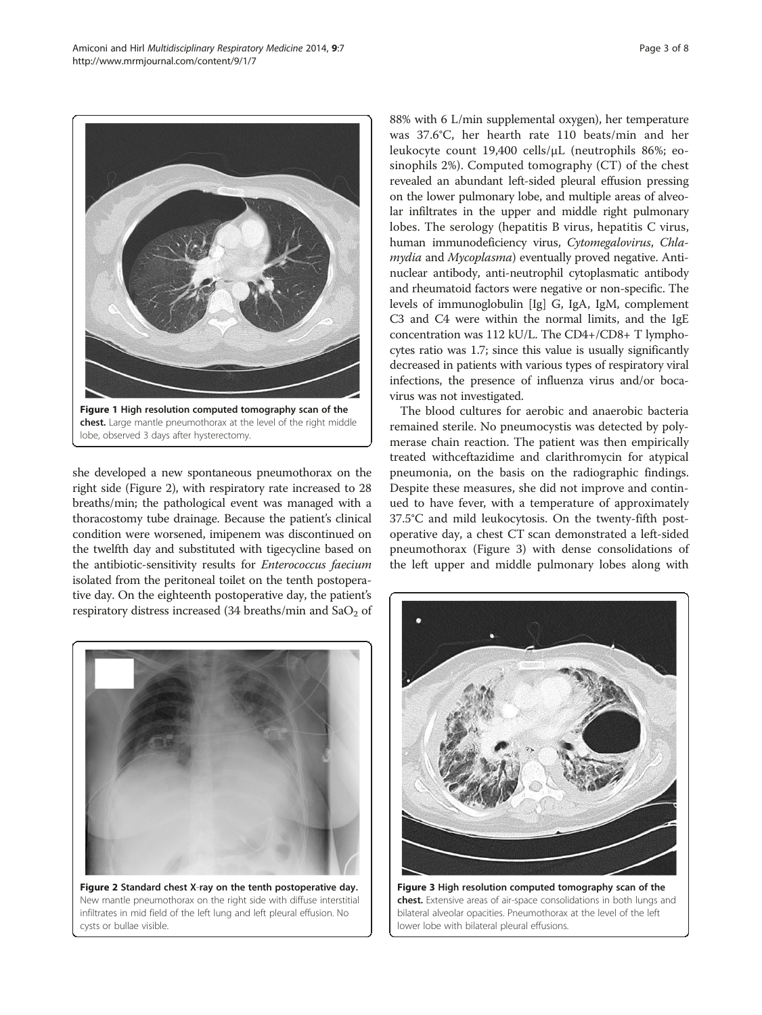<span id="page-2-0"></span>

chest. Large mantle pneumothorax at the level of the right middle lobe, observed 3 days after hysterectomy.

she developed a new spontaneous pneumothorax on the right side (Figure 2), with respiratory rate increased to 28 breaths/min; the pathological event was managed with a thoracostomy tube drainage. Because the patient's clinical condition were worsened, imipenem was discontinued on the twelfth day and substituted with tigecycline based on the antibiotic-sensitivity results for Enterococcus faecium isolated from the peritoneal toilet on the tenth postoperative day. On the eighteenth postoperative day, the patient's respiratory distress increased (34 breaths/min and  $SaO<sub>2</sub>$  of



Figure 2 Standard chest X-ray on the tenth postoperative day. New mantle pneumothorax on the right side with diffuse interstitial infiltrates in mid field of the left lung and left pleural effusion. No cysts or bullae visible.

88% with 6 L/min supplemental oxygen), her temperature was 37.6°C, her hearth rate 110 beats/min and her leukocyte count 19,400 cells/μL (neutrophils 86%; eosinophils 2%). Computed tomography (CT) of the chest revealed an abundant left-sided pleural effusion pressing on the lower pulmonary lobe, and multiple areas of alveolar infiltrates in the upper and middle right pulmonary lobes. The serology (hepatitis B virus, hepatitis C virus, human immunodeficiency virus, Cytomegalovirus, Chlamydia and Mycoplasma) eventually proved negative. Antinuclear antibody, anti-neutrophil cytoplasmatic antibody and rheumatoid factors were negative or non-specific. The levels of immunoglobulin [Ig] G, IgA, IgM, complement C3 and C4 were within the normal limits, and the IgE concentration was 112 kU/L. The CD4+/CD8+ T lymphocytes ratio was 1.7; since this value is usually significantly decreased in patients with various types of respiratory viral infections, the presence of influenza virus and/or bocavirus was not investigated.

The blood cultures for aerobic and anaerobic bacteria remained sterile. No pneumocystis was detected by polymerase chain reaction. The patient was then empirically treated withceftazidime and clarithromycin for atypical pneumonia, on the basis on the radiographic findings. Despite these measures, she did not improve and continued to have fever, with a temperature of approximately 37.5°C and mild leukocytosis. On the twenty-fifth postoperative day, a chest CT scan demonstrated a left-sided pneumothorax (Figure 3) with dense consolidations of the left upper and middle pulmonary lobes along with



Figure 3 High resolution computed tomography scan of the chest. Extensive areas of air-space consolidations in both lungs and bilateral alveolar opacities. Pneumothorax at the level of the left lower lobe with bilateral pleural effusions.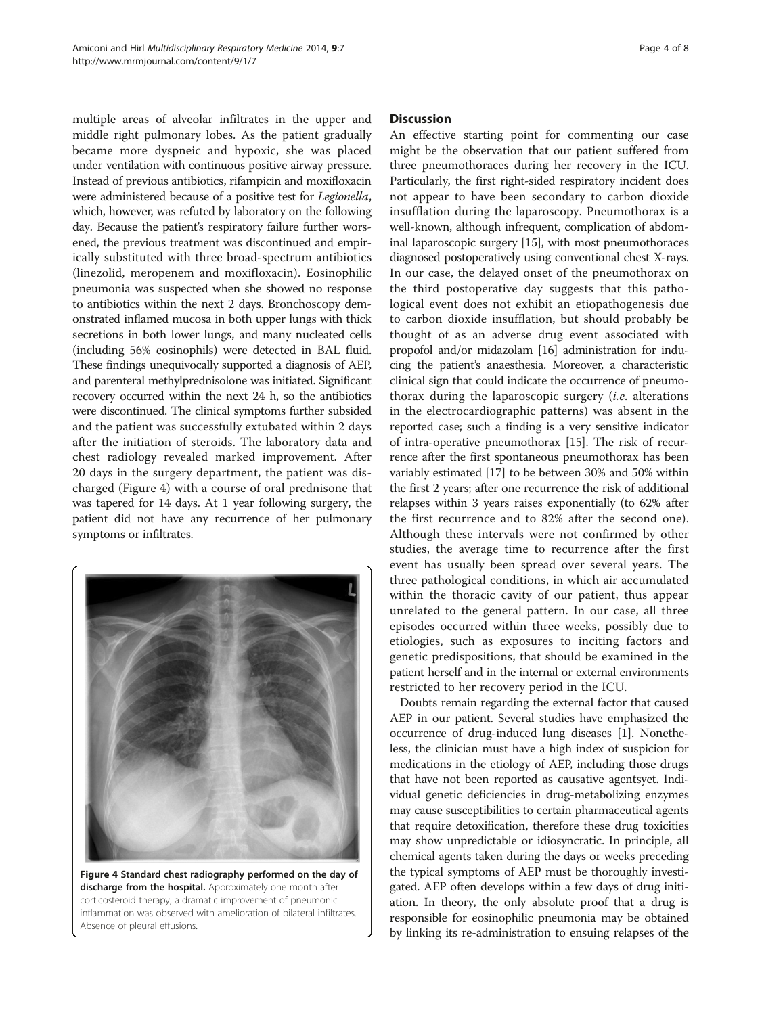multiple areas of alveolar infiltrates in the upper and middle right pulmonary lobes. As the patient gradually became more dyspneic and hypoxic, she was placed under ventilation with continuous positive airway pressure. Instead of previous antibiotics, rifampicin and moxifloxacin were administered because of a positive test for Legionella, which, however, was refuted by laboratory on the following day. Because the patient's respiratory failure further worsened, the previous treatment was discontinued and empirically substituted with three broad-spectrum antibiotics (linezolid, meropenem and moxifloxacin). Eosinophilic pneumonia was suspected when she showed no response to antibiotics within the next 2 days. Bronchoscopy demonstrated inflamed mucosa in both upper lungs with thick secretions in both lower lungs, and many nucleated cells (including 56% eosinophils) were detected in BAL fluid. These findings unequivocally supported a diagnosis of AEP, and parenteral methylprednisolone was initiated. Significant recovery occurred within the next 24 h, so the antibiotics were discontinued. The clinical symptoms further subsided and the patient was successfully extubated within 2 days after the initiation of steroids. The laboratory data and chest radiology revealed marked improvement. After 20 days in the surgery department, the patient was discharged (Figure 4) with a course of oral prednisone that was tapered for 14 days. At 1 year following surgery, the patient did not have any recurrence of her pulmonary symptoms or infiltrates.



Figure 4 Standard chest radiography performed on the day of discharge from the hospital. Approximately one month after corticosteroid therapy, a dramatic improvement of pneumonic inflammation was observed with amelioration of bilateral infiltrates. Absence of pleural effusions.

# **Discussion**

An effective starting point for commenting our case might be the observation that our patient suffered from three pneumothoraces during her recovery in the ICU. Particularly, the first right-sided respiratory incident does not appear to have been secondary to carbon dioxide insufflation during the laparoscopy. Pneumothorax is a well-known, although infrequent, complication of abdominal laparoscopic surgery [[15](#page-6-0)], with most pneumothoraces diagnosed postoperatively using conventional chest X-rays. In our case, the delayed onset of the pneumothorax on the third postoperative day suggests that this pathological event does not exhibit an etiopathogenesis due to carbon dioxide insufflation, but should probably be thought of as an adverse drug event associated with propofol and/or midazolam [[16](#page-6-0)] administration for inducing the patient's anaesthesia. Moreover, a characteristic clinical sign that could indicate the occurrence of pneumothorax during the laparoscopic surgery (i.e. alterations in the electrocardiographic patterns) was absent in the reported case; such a finding is a very sensitive indicator of intra-operative pneumothorax [\[15\]](#page-6-0). The risk of recurrence after the first spontaneous pneumothorax has been variably estimated [[17](#page-7-0)] to be between 30% and 50% within the first 2 years; after one recurrence the risk of additional relapses within 3 years raises exponentially (to 62% after the first recurrence and to 82% after the second one). Although these intervals were not confirmed by other studies, the average time to recurrence after the first event has usually been spread over several years. The three pathological conditions, in which air accumulated within the thoracic cavity of our patient, thus appear unrelated to the general pattern. In our case, all three episodes occurred within three weeks, possibly due to etiologies, such as exposures to inciting factors and genetic predispositions, that should be examined in the patient herself and in the internal or external environments restricted to her recovery period in the ICU.

Doubts remain regarding the external factor that caused AEP in our patient. Several studies have emphasized the occurrence of drug-induced lung diseases [[1\]](#page-6-0). Nonetheless, the clinician must have a high index of suspicion for medications in the etiology of AEP, including those drugs that have not been reported as causative agentsyet. Individual genetic deficiencies in drug-metabolizing enzymes may cause susceptibilities to certain pharmaceutical agents that require detoxification, therefore these drug toxicities may show unpredictable or idiosyncratic. In principle, all chemical agents taken during the days or weeks preceding the typical symptoms of AEP must be thoroughly investigated. AEP often develops within a few days of drug initiation. In theory, the only absolute proof that a drug is responsible for eosinophilic pneumonia may be obtained by linking its re-administration to ensuing relapses of the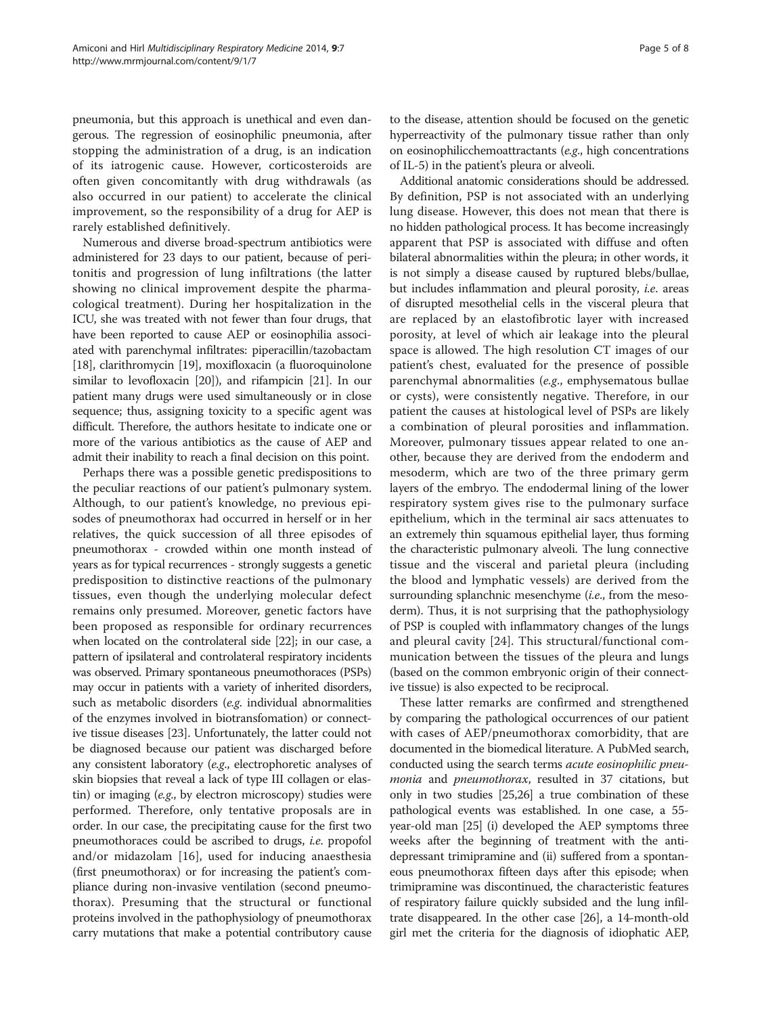pneumonia, but this approach is unethical and even dangerous. The regression of eosinophilic pneumonia, after stopping the administration of a drug, is an indication of its iatrogenic cause. However, corticosteroids are often given concomitantly with drug withdrawals (as also occurred in our patient) to accelerate the clinical improvement, so the responsibility of a drug for AEP is rarely established definitively.

Numerous and diverse broad-spectrum antibiotics were administered for 23 days to our patient, because of peritonitis and progression of lung infiltrations (the latter showing no clinical improvement despite the pharmacological treatment). During her hospitalization in the ICU, she was treated with not fewer than four drugs, that have been reported to cause AEP or eosinophilia associated with parenchymal infiltrates: piperacillin/tazobactam [[18](#page-7-0)], clarithromycin [[19](#page-7-0)], moxifloxacin (a fluoroquinolone similar to levofloxacin [\[20](#page-7-0)]), and rifampicin [[21](#page-7-0)]. In our patient many drugs were used simultaneously or in close sequence; thus, assigning toxicity to a specific agent was difficult. Therefore, the authors hesitate to indicate one or more of the various antibiotics as the cause of AEP and admit their inability to reach a final decision on this point.

Perhaps there was a possible genetic predispositions to the peculiar reactions of our patient's pulmonary system. Although, to our patient's knowledge, no previous episodes of pneumothorax had occurred in herself or in her relatives, the quick succession of all three episodes of pneumothorax - crowded within one month instead of years as for typical recurrences - strongly suggests a genetic predisposition to distinctive reactions of the pulmonary tissues, even though the underlying molecular defect remains only presumed. Moreover, genetic factors have been proposed as responsible for ordinary recurrences when located on the controlateral side [\[22\]](#page-7-0); in our case, a pattern of ipsilateral and controlateral respiratory incidents was observed. Primary spontaneous pneumothoraces (PSPs) may occur in patients with a variety of inherited disorders, such as metabolic disorders (e.g. individual abnormalities of the enzymes involved in biotransfomation) or connective tissue diseases [\[23\]](#page-7-0). Unfortunately, the latter could not be diagnosed because our patient was discharged before any consistent laboratory (e.g., electrophoretic analyses of skin biopsies that reveal a lack of type III collagen or elastin) or imaging (e.g., by electron microscopy) studies were performed. Therefore, only tentative proposals are in order. In our case, the precipitating cause for the first two pneumothoraces could be ascribed to drugs, i.e. propofol and/or midazolam [[16\]](#page-6-0), used for inducing anaesthesia (first pneumothorax) or for increasing the patient's compliance during non-invasive ventilation (second pneumothorax). Presuming that the structural or functional proteins involved in the pathophysiology of pneumothorax carry mutations that make a potential contributory cause

to the disease, attention should be focused on the genetic hyperreactivity of the pulmonary tissue rather than only on eosinophilicchemoattractants (e.g., high concentrations of IL-5) in the patient's pleura or alveoli.

Additional anatomic considerations should be addressed. By definition, PSP is not associated with an underlying lung disease. However, this does not mean that there is no hidden pathological process. It has become increasingly apparent that PSP is associated with diffuse and often bilateral abnormalities within the pleura; in other words, it is not simply a disease caused by ruptured blebs/bullae, but includes inflammation and pleural porosity, i.e. areas of disrupted mesothelial cells in the visceral pleura that are replaced by an elastofibrotic layer with increased porosity, at level of which air leakage into the pleural space is allowed. The high resolution CT images of our patient's chest, evaluated for the presence of possible parenchymal abnormalities (e.g., emphysematous bullae or cysts), were consistently negative. Therefore, in our patient the causes at histological level of PSPs are likely a combination of pleural porosities and inflammation. Moreover, pulmonary tissues appear related to one another, because they are derived from the endoderm and mesoderm, which are two of the three primary germ layers of the embryo. The endodermal lining of the lower respiratory system gives rise to the pulmonary surface epithelium, which in the terminal air sacs attenuates to an extremely thin squamous epithelial layer, thus forming the characteristic pulmonary alveoli. The lung connective tissue and the visceral and parietal pleura (including the blood and lymphatic vessels) are derived from the surrounding splanchnic mesenchyme (i.e., from the mesoderm). Thus, it is not surprising that the pathophysiology of PSP is coupled with inflammatory changes of the lungs and pleural cavity [\[24](#page-7-0)]. This structural/functional communication between the tissues of the pleura and lungs (based on the common embryonic origin of their connective tissue) is also expected to be reciprocal.

These latter remarks are confirmed and strengthened by comparing the pathological occurrences of our patient with cases of AEP/pneumothorax comorbidity, that are documented in the biomedical literature. A PubMed search, conducted using the search terms *acute eosinophilic pneumonia* and *pneumothorax*, resulted in 37 citations, but only in two studies [[25,26](#page-7-0)] a true combination of these pathological events was established. In one case, a 55 year-old man [[25](#page-7-0)] (i) developed the AEP symptoms three weeks after the beginning of treatment with the antidepressant trimipramine and (ii) suffered from a spontaneous pneumothorax fifteen days after this episode; when trimipramine was discontinued, the characteristic features of respiratory failure quickly subsided and the lung infiltrate disappeared. In the other case [\[26\]](#page-7-0), a 14-month-old girl met the criteria for the diagnosis of idiophatic AEP,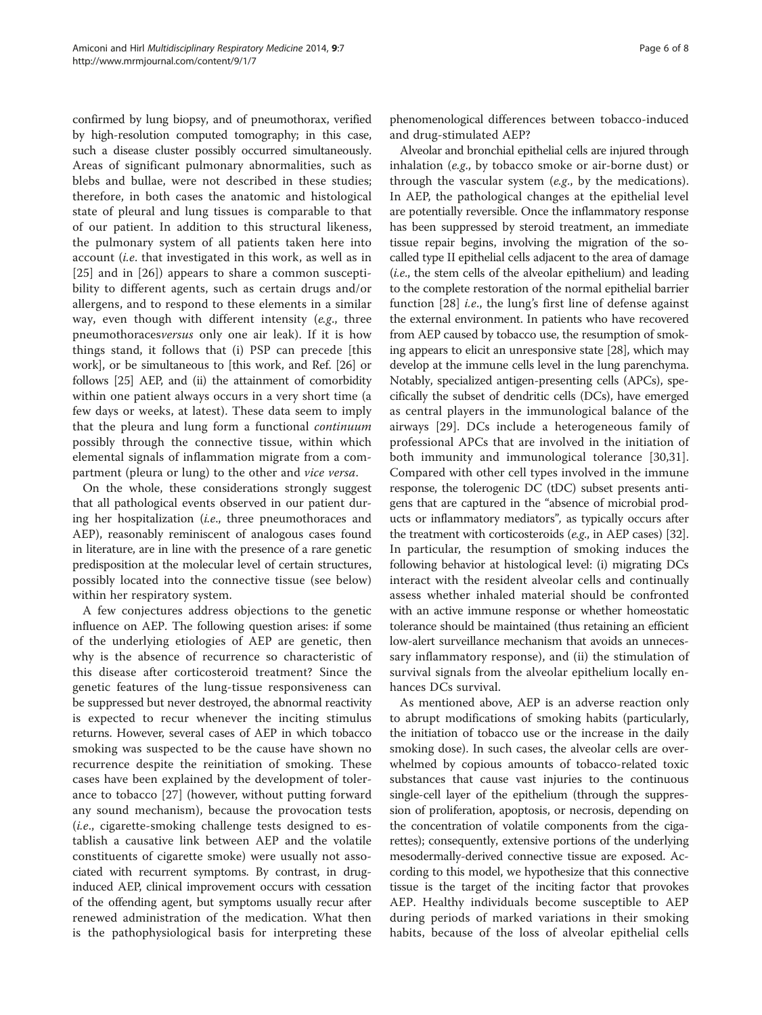confirmed by lung biopsy, and of pneumothorax, verified by high-resolution computed tomography; in this case, such a disease cluster possibly occurred simultaneously. Areas of significant pulmonary abnormalities, such as blebs and bullae, were not described in these studies; therefore, in both cases the anatomic and histological state of pleural and lung tissues is comparable to that of our patient. In addition to this structural likeness, the pulmonary system of all patients taken here into account (i.e. that investigated in this work, as well as in [[25\]](#page-7-0) and in [[26](#page-7-0)]) appears to share a common susceptibility to different agents, such as certain drugs and/or allergens, and to respond to these elements in a similar way, even though with different intensity (e.g., three pneumothoracesversus only one air leak). If it is how things stand, it follows that (i) PSP can precede [this work], or be simultaneous to [this work, and Ref. [[26](#page-7-0)] or follows [\[25\]](#page-7-0) AEP, and (ii) the attainment of comorbidity within one patient always occurs in a very short time (a few days or weeks, at latest). These data seem to imply that the pleura and lung form a functional continuum possibly through the connective tissue, within which elemental signals of inflammation migrate from a compartment (pleura or lung) to the other and vice versa.

On the whole, these considerations strongly suggest that all pathological events observed in our patient during her hospitalization (i.e., three pneumothoraces and AEP), reasonably reminiscent of analogous cases found in literature, are in line with the presence of a rare genetic predisposition at the molecular level of certain structures, possibly located into the connective tissue (see below) within her respiratory system.

A few conjectures address objections to the genetic influence on AEP. The following question arises: if some of the underlying etiologies of AEP are genetic, then why is the absence of recurrence so characteristic of this disease after corticosteroid treatment? Since the genetic features of the lung-tissue responsiveness can be suppressed but never destroyed, the abnormal reactivity is expected to recur whenever the inciting stimulus returns. However, several cases of AEP in which tobacco smoking was suspected to be the cause have shown no recurrence despite the reinitiation of smoking. These cases have been explained by the development of tolerance to tobacco [[27\]](#page-7-0) (however, without putting forward any sound mechanism), because the provocation tests (i.e., cigarette-smoking challenge tests designed to establish a causative link between AEP and the volatile constituents of cigarette smoke) were usually not associated with recurrent symptoms. By contrast, in druginduced AEP, clinical improvement occurs with cessation of the offending agent, but symptoms usually recur after renewed administration of the medication. What then is the pathophysiological basis for interpreting these

phenomenological differences between tobacco-induced and drug-stimulated AEP?

Alveolar and bronchial epithelial cells are injured through inhalation (e.g., by tobacco smoke or air-borne dust) or through the vascular system (e.g., by the medications). In AEP, the pathological changes at the epithelial level are potentially reversible. Once the inflammatory response has been suppressed by steroid treatment, an immediate tissue repair begins, involving the migration of the socalled type II epithelial cells adjacent to the area of damage (i.e., the stem cells of the alveolar epithelium) and leading to the complete restoration of the normal epithelial barrier function [[28\]](#page-7-0) *i.e.*, the lung's first line of defense against the external environment. In patients who have recovered from AEP caused by tobacco use, the resumption of smoking appears to elicit an unresponsive state [[28](#page-7-0)], which may develop at the immune cells level in the lung parenchyma. Notably, specialized antigen-presenting cells (APCs), specifically the subset of dendritic cells (DCs), have emerged as central players in the immunological balance of the airways [[29](#page-7-0)]. DCs include a heterogeneous family of professional APCs that are involved in the initiation of both immunity and immunological tolerance [[30,31](#page-7-0)]. Compared with other cell types involved in the immune response, the tolerogenic DC (tDC) subset presents antigens that are captured in the "absence of microbial products or inflammatory mediators", as typically occurs after the treatment with corticosteroids (e.g., in AEP cases) [[32](#page-7-0)]. In particular, the resumption of smoking induces the following behavior at histological level: (i) migrating DCs interact with the resident alveolar cells and continually assess whether inhaled material should be confronted with an active immune response or whether homeostatic tolerance should be maintained (thus retaining an efficient low-alert surveillance mechanism that avoids an unnecessary inflammatory response), and (ii) the stimulation of survival signals from the alveolar epithelium locally enhances DCs survival.

As mentioned above, AEP is an adverse reaction only to abrupt modifications of smoking habits (particularly, the initiation of tobacco use or the increase in the daily smoking dose). In such cases, the alveolar cells are overwhelmed by copious amounts of tobacco-related toxic substances that cause vast injuries to the continuous single-cell layer of the epithelium (through the suppression of proliferation, apoptosis, or necrosis, depending on the concentration of volatile components from the cigarettes); consequently, extensive portions of the underlying mesodermally-derived connective tissue are exposed. According to this model, we hypothesize that this connective tissue is the target of the inciting factor that provokes AEP. Healthy individuals become susceptible to AEP during periods of marked variations in their smoking habits, because of the loss of alveolar epithelial cells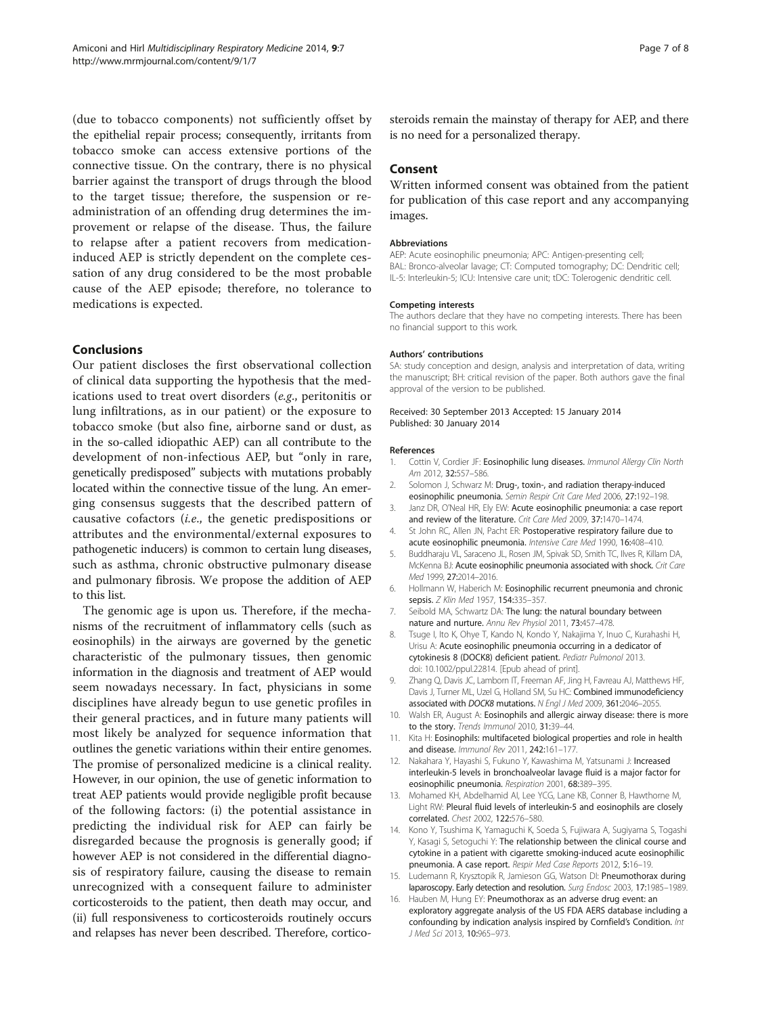<span id="page-6-0"></span>(due to tobacco components) not sufficiently offset by the epithelial repair process; consequently, irritants from tobacco smoke can access extensive portions of the connective tissue. On the contrary, there is no physical barrier against the transport of drugs through the blood to the target tissue; therefore, the suspension or readministration of an offending drug determines the improvement or relapse of the disease. Thus, the failure to relapse after a patient recovers from medicationinduced AEP is strictly dependent on the complete cessation of any drug considered to be the most probable cause of the AEP episode; therefore, no tolerance to medications is expected.

# Conclusions

Our patient discloses the first observational collection of clinical data supporting the hypothesis that the medications used to treat overt disorders (e.g., peritonitis or lung infiltrations, as in our patient) or the exposure to tobacco smoke (but also fine, airborne sand or dust, as in the so-called idiopathic AEP) can all contribute to the development of non-infectious AEP, but "only in rare, genetically predisposed" subjects with mutations probably located within the connective tissue of the lung. An emerging consensus suggests that the described pattern of causative cofactors (i.e., the genetic predispositions or attributes and the environmental/external exposures to pathogenetic inducers) is common to certain lung diseases, such as asthma, chronic obstructive pulmonary disease and pulmonary fibrosis. We propose the addition of AEP to this list.

The genomic age is upon us. Therefore, if the mechanisms of the recruitment of inflammatory cells (such as eosinophils) in the airways are governed by the genetic characteristic of the pulmonary tissues, then genomic information in the diagnosis and treatment of AEP would seem nowadays necessary. In fact, physicians in some disciplines have already begun to use genetic profiles in their general practices, and in future many patients will most likely be analyzed for sequence information that outlines the genetic variations within their entire genomes. The promise of personalized medicine is a clinical reality. However, in our opinion, the use of genetic information to treat AEP patients would provide negligible profit because of the following factors: (i) the potential assistance in predicting the individual risk for AEP can fairly be disregarded because the prognosis is generally good; if however AEP is not considered in the differential diagnosis of respiratory failure, causing the disease to remain unrecognized with a consequent failure to administer corticosteroids to the patient, then death may occur, and (ii) full responsiveness to corticosteroids routinely occurs and relapses has never been described. Therefore, cortico-

steroids remain the mainstay of therapy for AEP, and there is no need for a personalized therapy.

# Consent

Written informed consent was obtained from the patient for publication of this case report and any accompanying images.

#### Abbreviations

AEP: Acute eosinophilic pneumonia; APC: Antigen-presenting cell; BAL: Bronco-alveolar lavage; CT: Computed tomography; DC: Dendritic cell; IL-5: Interleukin-5; ICU: Intensive care unit; tDC: Tolerogenic dendritic cell.

#### Competing interests

The authors declare that they have no competing interests. There has been no financial support to this work.

#### Authors' contributions

SA: study conception and design, analysis and interpretation of data, writing the manuscript; BH: critical revision of the paper. Both authors gave the final approval of the version to be published.

#### Received: 30 September 2013 Accepted: 15 January 2014 Published: 30 January 2014

#### References

- 1. Cottin V, Cordier JF: Eosinophilic lung diseases. Immunol Allergy Clin North Am 2012, 32:557–586.
- 2. Solomon J, Schwarz M: Drug-, toxin-, and radiation therapy-induced eosinophilic pneumonia. Semin Respir Crit Care Med 2006, 27:192–198.
- Janz DR, O'Neal HR, Ely EW: Acute eosinophilic pneumonia: a case report and review of the literature. Crit Care Med 2009, 37:1470–1474.
- 4. St John RC, Allen JN, Pacht ER: Postoperative respiratory failure due to acute eosinophilic pneumonia. Intensive Care Med 1990, 16:408–410.
- 5. Buddharaju VL, Saraceno JL, Rosen JM, Spivak SD, Smith TC, Ilves R, Killam DA, McKenna BJ: Acute eosinophilic pneumonia associated with shock. Crit Care Med 1999, 27:2014–2016.
- 6. Hollmann W, Haberich M: Eosinophilic recurrent pneumonia and chronic sepsis. Z Klin Med 1957, 154:335-357.
- 7. Seibold MA, Schwartz DA: The lung: the natural boundary between nature and nurture. Annu Rev Physiol 2011, 73:457–478.
- 8. Tsuge I, Ito K, Ohye T, Kando N, Kondo Y, Nakajima Y, Inuo C, Kurahashi H, Urisu A: Acute eosinophilic pneumonia occurring in a dedicator of cytokinesis 8 (DOCK8) deficient patient. Pediatr Pulmonol 2013. doi: 10.1002/ppul.22814. [Epub ahead of print].
- 9. Zhang Q, Davis JC, Lamborn IT, Freeman AF, Jing H, Favreau AJ, Matthews HF, Davis J, Turner ML, Uzel G, Holland SM, Su HC: Combined immunodeficiency associated with DOCK8 mutations. N Engl J Med 2009, 361:2046–2055.
- 10. Walsh ER, August A: Eosinophils and allergic airway disease: there is more to the story. Trends Immunol 2010, 31:39–44.
- 11. Kita H: Eosinophils: multifaceted biological properties and role in health and disease. Immunol Rev 2011, 242:161-177
- 12. Nakahara Y, Hayashi S, Fukuno Y, Kawashima M, Yatsunami J: Increased interleukin-5 levels in bronchoalveolar lavage fluid is a major factor for eosinophilic pneumonia. Respiration 2001, 68:389–395.
- 13. Mohamed KH, Abdelhamid AI, Lee YCG, Lane KB, Conner B, Hawthorne M, Light RW: Pleural fluid levels of interleukin-5 and eosinophils are closely correlated. Chest 2002, 122:576–580.
- 14. Kono Y, Tsushima K, Yamaguchi K, Soeda S, Fujiwara A, Sugiyama S, Togashi Y, Kasagi S, Setoguchi Y: The relationship between the clinical course and cytokine in a patient with cigarette smoking-induced acute eosinophilic pneumonia. A case report. Respir Med Case Reports 2012, 5:16–19.
- 15. Ludemann R, Krysztopik R, Jamieson GG, Watson DI: Pneumothorax during laparoscopy. Early detection and resolution. Surg Endosc 2003, 17:1985–1989.
- 16. Hauben M, Hung EY: Pneumothorax as an adverse drug event: an exploratory aggregate analysis of the US FDA AERS database including a confounding by indication analysis inspired by Cornfield's Condition. Int J Med Sci 2013, 10:965–973.